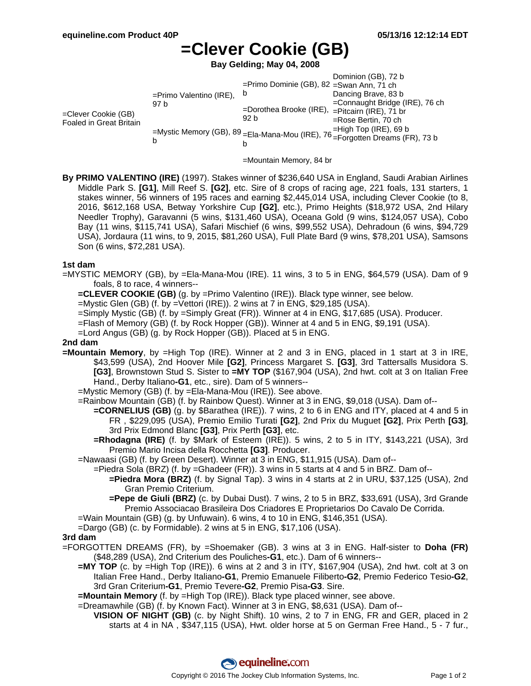# **=Clever Cookie (GB)**

**Bay Gelding; May 04, 2008**

|                                                |                                                                                |                                                        | Dominion (GB), 72 b            |
|------------------------------------------------|--------------------------------------------------------------------------------|--------------------------------------------------------|--------------------------------|
| =Clever Cookie (GB)<br>Foaled in Great Britain | $=$ Primo Valentino (IRE),<br>97 b                                             | =Primo Dominie (GB), 82 =Swan Ann, 71 ch               |                                |
|                                                |                                                                                | b                                                      | Dancing Brave, 83 b            |
|                                                |                                                                                | =Dorothea Brooke (IRE), =Pitcairn (IRE), 71 br<br>92 b | =Connaught Bridge (IRE), 76 ch |
|                                                |                                                                                |                                                        |                                |
|                                                |                                                                                |                                                        | =Rose Bertin, 70 ch            |
|                                                | =Mystic Memory (GB), 89 = Ela-Mana-Mou (IRE), 76 = Forgotten Dreams (FR), 73 b |                                                        | $=$ High Top (IRE), 69 b       |
|                                                |                                                                                |                                                        |                                |
|                                                |                                                                                |                                                        |                                |

=Mountain Memory, 84 br

**By PRIMO VALENTINO (IRE)** (1997). Stakes winner of \$236,640 USA in England, Saudi Arabian Airlines Middle Park S. **[G1]**, Mill Reef S. **[G2]**, etc. Sire of 8 crops of racing age, 221 foals, 131 starters, 1 stakes winner, 56 winners of 195 races and earning \$2,445,014 USA, including Clever Cookie (to 8, 2016, \$612,168 USA, Betway Yorkshire Cup **[G2]**, etc.), Primo Heights (\$18,972 USA, 2nd Hilary Needler Trophy), Garavanni (5 wins, \$131,460 USA), Oceana Gold (9 wins, \$124,057 USA), Cobo Bay (11 wins, \$115,741 USA), Safari Mischief (6 wins, \$99,552 USA), Dehradoun (6 wins, \$94,729 USA), Jordaura (11 wins, to 9, 2015, \$81,260 USA), Full Plate Bard (9 wins, \$78,201 USA), Samsons Son (6 wins, \$72,281 USA).

#### **1st dam**

=MYSTIC MEMORY (GB), by =Ela-Mana-Mou (IRE). 11 wins, 3 to 5 in ENG, \$64,579 (USA). Dam of 9 foals, 8 to race, 4 winners--

**=CLEVER COOKIE (GB)** (g. by =Primo Valentino (IRE)). Black type winner, see below.

=Mystic Glen (GB) (f. by =Vettori (IRE)). 2 wins at 7 in ENG, \$29,185 (USA).

=Simply Mystic (GB) (f. by =Simply Great (FR)). Winner at 4 in ENG, \$17,685 (USA). Producer.

=Flash of Memory (GB) (f. by Rock Hopper (GB)). Winner at 4 and 5 in ENG, \$9,191 (USA).

=Lord Angus (GB) (g. by Rock Hopper (GB)). Placed at 5 in ENG.

#### **2nd dam**

**=Mountain Memory**, by =High Top (IRE). Winner at 2 and 3 in ENG, placed in 1 start at 3 in IRE, \$43,599 (USA), 2nd Hoover Mile **[G2]**, Princess Margaret S. **[G3]**, 3rd Tattersalls Musidora S. **[G3]**, Brownstown Stud S. Sister to **=MY TOP** (\$167,904 (USA), 2nd hwt. colt at 3 on Italian Free Hand., Derby Italiano**-G1**, etc., sire). Dam of 5 winners--

=Mystic Memory (GB) (f. by =Ela-Mana-Mou (IRE)). See above.

=Rainbow Mountain (GB) (f. by Rainbow Quest). Winner at 3 in ENG, \$9,018 (USA). Dam of--

- **=CORNELIUS (GB)** (g. by \$Barathea (IRE)). 7 wins, 2 to 6 in ENG and ITY, placed at 4 and 5 in FR , \$229,095 (USA), Premio Emilio Turati **[G2]**, 2nd Prix du Muguet **[G2]**, Prix Perth **[G3]**, 3rd Prix Edmond Blanc **[G3]**, Prix Perth **[G3]**, etc.
- **=Rhodagna (IRE)** (f. by \$Mark of Esteem (IRE)). 5 wins, 2 to 5 in ITY, \$143,221 (USA), 3rd Premio Mario Incisa della Rocchetta **[G3]**. Producer.
- =Nawaasi (GB) (f. by Green Desert). Winner at 3 in ENG, \$11,915 (USA). Dam of--
	- =Piedra Sola (BRZ) (f. by =Ghadeer (FR)). 3 wins in 5 starts at 4 and 5 in BRZ. Dam of--
		- **=Piedra Mora (BRZ)** (f. by Signal Tap). 3 wins in 4 starts at 2 in URU, \$37,125 (USA), 2nd Gran Premio Criterium.
		- **=Pepe de Giuli (BRZ)** (c. by Dubai Dust). 7 wins, 2 to 5 in BRZ, \$33,691 (USA), 3rd Grande Premio Associacao Brasileira Dos Criadores E Proprietarios Do Cavalo De Corrida.
- =Wain Mountain (GB) (g. by Unfuwain). 6 wins, 4 to 10 in ENG, \$146,351 (USA).
- =Dargo (GB) (c. by Formidable). 2 wins at 5 in ENG, \$17,106 (USA).

#### **3rd dam**

- =FORGOTTEN DREAMS (FR), by =Shoemaker (GB). 3 wins at 3 in ENG. Half-sister to **Doha (FR)** (\$48,289 (USA), 2nd Criterium des Pouliches**-G1**, etc.). Dam of 6 winners--
	- **=MY TOP** (c. by =High Top (IRE)). 6 wins at 2 and 3 in ITY, \$167,904 (USA), 2nd hwt. colt at 3 on Italian Free Hand., Derby Italiano**-G1**, Premio Emanuele Filiberto**-G2**, Premio Federico Tesio**-G2**, 3rd Gran Criterium**-G1**, Premio Tevere**-G2**, Premio Pisa**-G3**. Sire.

**=Mountain Memory** (f. by =High Top (IRE)). Black type placed winner, see above.

=Dreamawhile (GB) (f. by Known Fact). Winner at 3 in ENG, \$8,631 (USA). Dam of--

**VISION OF NIGHT (GB)** (c. by Night Shift). 10 wins, 2 to 7 in ENG, FR and GER, placed in 2 starts at 4 in NA , \$347,115 (USA), Hwt. older horse at 5 on German Free Hand., 5 - 7 fur.,